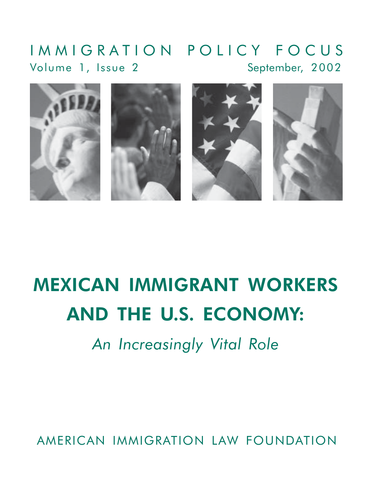### IMMIGRATION POLICY FOCUS September, 2002 Volume 1, Issue 2



# **MEXICAN IMMIGRANT WORKERS AND THE U.S. ECONOMY:**

An Increasingly Vital Role

AMERICAN IMMIGRATION LAW FOUNDATION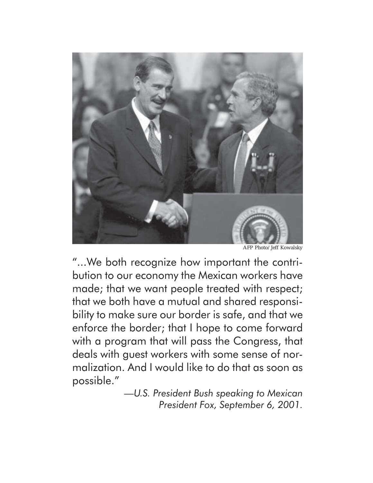

AFP Photo/Jeff Kowalsky

"... We both recognize how important the contribution to our economy the Mexican workers have made; that we want people treated with respect; that we both have a mutual and shared responsibility to make sure our border is safe, and that we enforce the border; that I hope to come forward with a program that will pass the Congress, that deals with guest workers with some sense of normalization. And I would like to do that as soon as possible."

> -U.S. President Bush speaking to Mexican President Fox, September 6, 2001.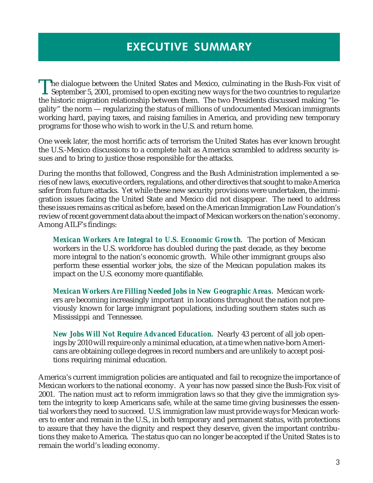# **EXECUTIVE SUMMARY**

The dialogue between the United States and Mexico, culminating in the Bush-Fox visit of<br>September 5, 2001, promised to open exciting new ways for the two countries to regularize<br>the historic migration relationship between the historic migration relationship between them. The two Presidents discussed making "legality" the norm — regularizing the status of millions of undocumented Mexican immigrants working hard, paying taxes, and raising families in America, and providing new temporary programs for those who wish to work in the U.S. and return home.

One week later, the most horrific acts of terrorism the United States has ever known brought the U.S.-Mexico discussions to a complete halt as America scrambled to address security issues and to bring to justice those responsible for the attacks.

During the months that followed, Congress and the Bush Administration implemented a series of new laws, executive orders, regulations, and other directives that sought to make America safer from future attacks. Yet while these new security provisions were undertaken, the immigration issues facing the United State and Mexico did not disappear. The need to address these issues remains as critical as before, based on the American Immigration Law Foundation's review of recent government data about the impact of Mexican workers on the nation's economy. Among AILF's findings:

*Mexican Workers Are Integral to U.S. Economic Growth.* The portion of Mexican workers in the U.S. workforce has doubled during the past decade, as they become more integral to the nation's economic growth. While other immigrant groups also perform these essential worker jobs, the size of the Mexican population makes its impact on the U.S. economy more quantifiable.

*Mexican Workers Are Filling Needed Jobs in New Geographic Areas.* Mexican workers are becoming increasingly important in locations throughout the nation not previously known for large immigrant populations, including southern states such as Mississippi and Tennessee.

*New Jobs Will Not Require Advanced Education.* Nearly 43 percent of all job openings by 2010 will require only a minimal education, at a time when native-born Americans are obtaining college degrees in record numbers and are unlikely to accept positions requiring minimal education.

America's current immigration policies are antiquated and fail to recognize the importance of Mexican workers to the national economy. A year has now passed since the Bush-Fox visit of 2001. The nation must act to reform immigration laws so that they give the immigration system the integrity to keep Americans safe, while at the same time giving businesses the essential workers they need to succeed. U.S. immigration law must provide ways for Mexican workers to enter and remain in the U.S., in both temporary and permanent status, with protections to assure that they have the dignity and respect they deserve, given the important contributions they make to America. The status quo can no longer be accepted if the United States is to remain the world's leading economy.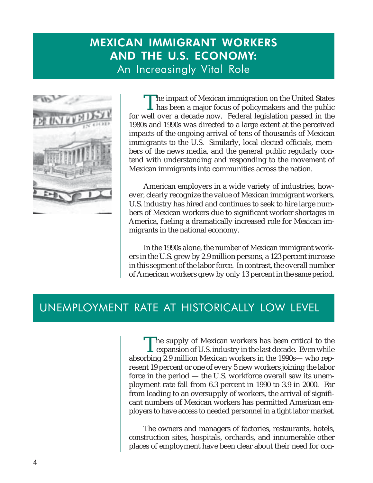# **MEXICAN IMMIGRANT WORKERS** AND THE U.S. ECONOMY: An Increasingly Vital Role



The impact of Mexican immigration on the United States<br>has been a major focus of policymakers and the public<br>well assessed not be proved in the for well over a decade now. Federal legislation passed in the 1980s and 1990s was directed to a large extent at the perceived impacts of the ongoing arrival of tens of thousands of Mexican immigrants to the U.S. Similarly, local elected officials, members of the news media, and the general public regularly contend with understanding and responding to the movement of Mexican immigrants into communities across the nation.

American employers in a wide variety of industries, however, clearly recognize the value of Mexican immigrant workers. U.S. industry has hired and continues to seek to hire large numbers of Mexican workers due to significant worker shortages in America, fueling a dramatically increased role for Mexican immigrants in the national economy.

In the 1990s alone, the number of Mexican immigrant workers in the U.S. grew by 2.9 million persons, a 123 percent increase in this segment of the labor force. In contrast, the overall number of American workers grew by only 13 percent in the same period.

### UNEMPLOYMENT RATE AT HISTORICALLY LOW LEVEL

The supply of Mexican workers has been critical to the **L** expansion of U.S. industry in the last decade. Even while absorbing 2.9 million Mexican workers in the 1990s— who represent 19 percent or one of every 5 new workers joining the labor force in the period — the U.S. workforce overall saw its unemployment rate fall from 6.3 percent in 1990 to 3.9 in 2000. Far from leading to an oversupply of workers, the arrival of significant numbers of Mexican workers has permitted American employers to have access to needed personnel in a tight labor market.

The owners and managers of factories, restaurants, hotels, construction sites, hospitals, orchards, and innumerable other places of employment have been clear about their need for con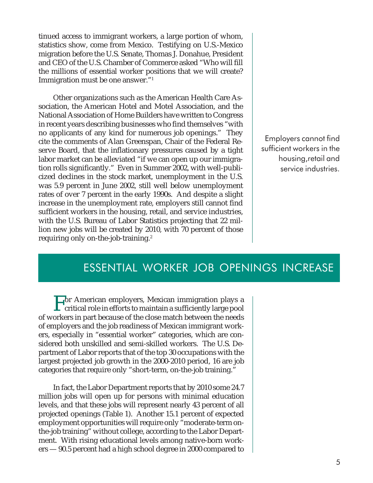tinued access to immigrant workers, a large portion of whom, statistics show, come from Mexico. Testifying on U.S.-Mexico migration before the U.S. Senate, Thomas J. Donahue, President and CEO of the U.S. Chamber of Commerce asked "Who will fill the millions of essential worker positions that we will create? Immigration must be one answer."1

Other organizations such as the American Health Care Association, the American Hotel and Motel Association, and the National Association of Home Builders have written to Congress in recent years describing businesses who find themselves "with no applicants of any kind for numerous job openings." They cite the comments of Alan Greenspan, Chair of the Federal Reserve Board, that the inflationary pressures caused by a tight labor market can be alleviated "if we can open up our immigration rolls significantly." Even in Summer 2002, with well-publicized declines in the stock market, unemployment in the U.S. was 5.9 percent in June 2002, still well below unemployment rates of over 7 percent in the early 1990s. And despite a slight increase in the unemployment rate, employers still cannot find sufficient workers in the housing, retail, and service industries, with the U.S. Bureau of Labor Statistics projecting that 22 million new jobs will be created by 2010, with 70 percent of those requiring only on-the-job-training.<sup>2</sup>

Employers cannot find sufficient workers in the housing,retail and service industries.

### ESSENTIAL WORKER JOB OPENINGS INCREASE

For American employers, Mexican immigration plays a critical role in efforts to maintain a sufficiently large pool of workers in part because of the close match between the needs of employers and the job readiness of Mexican immigrant workers, especially in "essential worker" categories, which are considered both unskilled and semi-skilled workers. The U.S. Department of Labor reports that of the top 30 occupations with the largest projected job growth in the 2000-2010 period, 16 are job categories that require only "short-term, on-the-job training."

In fact, the Labor Department reports that by 2010 some 24.7 million jobs will open up for persons with minimal education levels, and that these jobs will represent nearly 43 percent of all projected openings (Table 1). Another 15.1 percent of expected employment opportunities will require only "moderate-term onthe-job training" without college, according to the Labor Department. With rising educational levels among native-born workers — 90.5 percent had a high school degree in 2000 compared to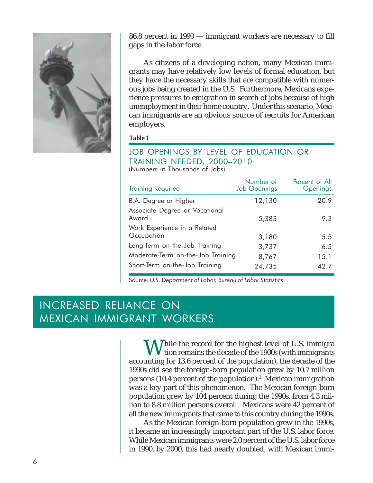

86.8 percent in 1990 — immigrant workers are necessary to fill gaps in the labor force.

As citizens of a developing nation, many Mexican immigrants may have relatively low levels of formal education, but they have the necessary skills that are compatible with numerous jobs being created in the U.S. Furthermore, Mexicans experience pressures to emigration in search of jobs because of high unemployment in their home country. Under this scenario, Mexican immigrants are an obvious source of recruits for American employers.

**Table 1** 

#### JOB OPENINGS BY LEVEL OF EDUCATION OR TRAINING NEEDED, 2000-2010 (Numbers in Thousands of Jobs)

| <b>Training Required</b>                   | Number of<br><b>Job Openings</b> | Percent of All<br>Openings |
|--------------------------------------------|----------------------------------|----------------------------|
| B.A. Degree or Higher                      | 12,130                           | 20.9                       |
| Associate Degree or Vocational<br>Award    | 5,383                            | 9.3                        |
| Work Experience in a Related<br>Occupation | 3,180                            | 5.5                        |
| Long-Term on-the-Job Training              | 3,737                            | 6.5                        |
| Moderate-Term on-the-Job Training          | 8,767                            | 15.1                       |
| Short-Term on-the-Job Training             | 24,735                           | 42.7                       |

Source: U.S. Department of Labor, Bureau of Labor Statistics

## **INCREASED RELIANCE ON MEXICAN IMMIGRANT WORKERS**

M Thile the record for the highest level of U.S. immigra tion remains the decade of the 1900s (with immigrants accounting for 13.6 percent of the population), the decade of the 1990s did see the foreign-born population grew by 10.7 million persons (10.4 percent of the population).<sup>3</sup> Mexican immigration was a key part of this phenomenon. The Mexican foreign-born population grew by 104 percent during the 1990s, from 4.3 million to 8.8 million persons overall. Mexicans were 42 percent of all the new immigrants that came to this country during the 1990s.

As the Mexican foreign-born population grew in the 1990s, it became an increasingly important part of the U.S. labor force. While Mexican immigrants were 2.0 percent of the U.S. labor force in 1990, by 2000, this had nearly doubled, with Mexican immi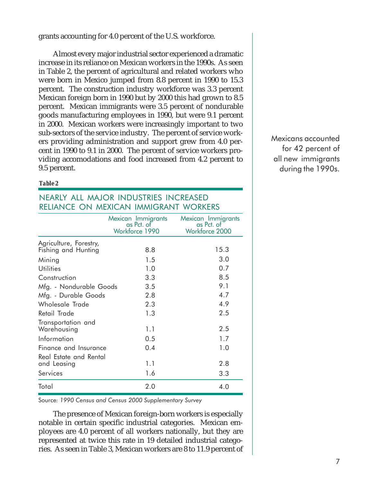grants accounting for 4.0 percent of the U.S. workforce.

Almost every major industrial sector experienced a dramatic increase in its reliance on Mexican workers in the 1990s. As seen in Table 2, the percent of agricultural and related workers who were born in Mexico jumped from 8.8 percent in 1990 to 15.3 percent. The construction industry workforce was 3.3 percent Mexican foreign born in 1990 but by 2000 this had grown to 8.5 percent. Mexican immigrants were 3.5 percent of nondurable goods manufacturing employees in 1990, but were 9.1 percent in 2000. Mexican workers were increasingly important to two sub-sectors of the service industry. The percent of service workers providing administration and support grew from 4.0 percent in 1990 to 9.1 in 2000. The percent of service workers providing accomodations and food increased from 4.2 percent to 9.5 percent.

#### **Table 2**

### NEARLY ALL MAJOR INDUSTRIES INCREASED RELIANCE ON MEXICAN IMMIGRANT WORKERS

|                                               | Mexican Immigrants<br>as Pct. of<br>Workforce 1990 | Mexican Immigrants<br>as Pct. of<br>Workforce 2000 |
|-----------------------------------------------|----------------------------------------------------|----------------------------------------------------|
| Agriculture, Forestry,<br>Fishing and Hunting | 8.8                                                | 15.3                                               |
| Mining                                        | 1.5                                                | 3.0                                                |
| <b>Utilities</b>                              | 1.0                                                | 0.7                                                |
| Construction                                  | 3.3                                                | 8.5                                                |
| Mfg. - Nondurable Goods                       | 3.5                                                | 9.1                                                |
| Mfg. - Durable Goods                          | 2.8                                                | 4.7                                                |
| Wholesale Trade                               | 2.3                                                | 4.9                                                |
| Retail Trade                                  | 1.3                                                | 2.5                                                |
| Transportation and<br>Warehousing             | 1.1                                                | 2.5                                                |
| Information                                   | 0.5                                                | 1.7                                                |
| Finance and Insurance                         | 0.4                                                | 1.0                                                |
| Real Estate and Rental<br>and Leasing         | 1.1                                                | 2.8                                                |
| Services                                      | 1.6                                                | 3.3                                                |
| Total                                         | 2.0                                                | 4.0                                                |

Source: 1990 Census and Census 2000 Supplementary Survey

The presence of Mexican foreign-born workers is especially notable in certain specific industrial categories. Mexican employees are 4.0 percent of all workers nationally, but they are represented at twice this rate in 19 detailed industrial categories. As seen in Table 3, Mexican workers are 8 to 11.9 percent of Mexicans accounted for 42 percent of all new immigrants during the 1990s.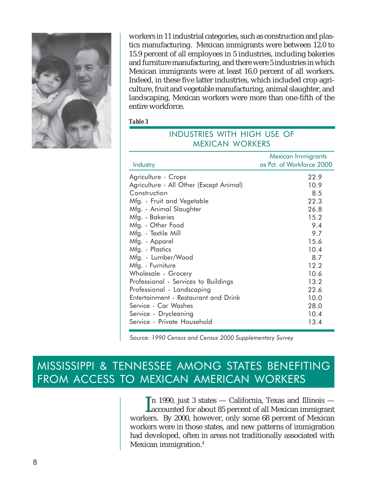

workers in 11 industrial categories, such as construction and plastics manufacturing. Mexican immigrants were between 12.0 to 15.9 percent of all employees in 5 industries, including bakeries and furniture manufacturing, and there were 5 industries in which Mexican immigrants were at least 16.0 percent of all workers. Indeed, in these five latter industries, which included crop agriculture, fruit and vegetable manufacturing, animal slaughter, and landscaping, Mexican workers were more than one-fifth of the entire workforce.

#### Table 3

| MEXICAN WORKERS                                                                                                                                                                                                                                                                                                                                                                                                                                                                                            |                                                                                                                                                  |  |  |
|------------------------------------------------------------------------------------------------------------------------------------------------------------------------------------------------------------------------------------------------------------------------------------------------------------------------------------------------------------------------------------------------------------------------------------------------------------------------------------------------------------|--------------------------------------------------------------------------------------------------------------------------------------------------|--|--|
| Industry                                                                                                                                                                                                                                                                                                                                                                                                                                                                                                   | Mexican Immigrants<br>as Pct. of Workforce 2000                                                                                                  |  |  |
| Agriculture - Crops<br>Agriculture - All Other (Except Animal)<br>Construction<br>Mfg. - Fruit and Vegetable<br>Mfg. - Animal Slaughter<br>Mfg. - Bakeries<br>Mfg. - Other Food<br>Mfg. - Textile Mill<br>Mfg. - Apparel<br>Mfg. - Plastics<br>Mfg. - Lumber/Wood<br>Mfg. - Furniture<br>Wholesale - Grocery<br>Professional - Services to Buildings<br>Professional - Landscaping<br>Entertainment - Restaurant and Drink<br>Service - Car Washes<br>Service - Drycleaning<br>Service - Private Household | 22.9<br>10.9<br>8.5<br>22.3<br>26.8<br>15.2<br>9.4<br>9.7<br>15.6<br>10.4<br>8.7<br>12.2<br>10.6<br>13.2<br>22.6<br>10.0<br>28.0<br>10.4<br>13.4 |  |  |
|                                                                                                                                                                                                                                                                                                                                                                                                                                                                                                            |                                                                                                                                                  |  |  |

INDUSTRIES WITH HIGH USE OF

Source: 1990 Census and Census 2000 Supplementary Survey

### MISSISSIPPI & TENNESSEE AMONG STATES BENEFITING FROM ACCESS TO MEXICAN AMERICAN WORKERS

In 1990, just 3 states  $-$  California, Texas and Illinois  $-$ Laccounted for about 85 percent of all Mexican immigrant workers. By 2000, however, only some 68 percent of Mexican workers were in those states, and new patterns of immigration had developed, often in areas not traditionally associated with Mexican immigration.<sup>4</sup>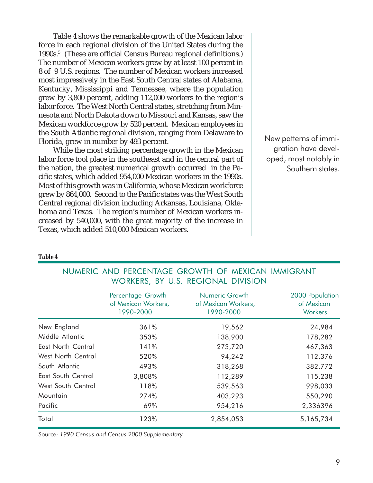Table 4 shows the remarkable growth of the Mexican labor force in each regional division of the United States during the 1990s.5 (These are official Census Bureau regional definitions.) The number of Mexican workers grew by at least 100 percent in 8 of 9 U.S. regions. The number of Mexican workers increased most impressively in the East South Central states of Alabama, Kentucky, Mississippi and Tennessee, where the population grew by 3,800 percent, adding 112,000 workers to the region's labor force. The West North Central states, stretching from Minnesota and North Dakota down to Missouri and Kansas, saw the Mexican workforce grow by 520 percent. Mexican employees in the South Atlantic regional division, ranging from Delaware to Florida, grew in number by 493 percent.

While the most striking percentage growth in the Mexican labor force tool place in the southeast and in the central part of the nation, the greatest numerical growth occurred in the Pacific states, which added 954,000 Mexican workers in the 1990s. Most of this growth was in California, whose Mexican workforce grew by 864,000. Second to the Pacific states was the West South Central regional division including Arkansas, Louisiana, Oklahoma and Texas. The region's number of Mexican workers increased by 540,000, with the great majority of the increase in Texas, which added 510,000 Mexican workers.

New patterns of immigration have developed, most notably in Southern states.

| ÷<br>۰.<br>۰, |  |
|---------------|--|
|---------------|--|

| <b>WONNERS, BI U.S. REOIOIMAL DIVISION</b> |                                                       |                                                    |                                                 |  |
|--------------------------------------------|-------------------------------------------------------|----------------------------------------------------|-------------------------------------------------|--|
|                                            | Percentage Growth<br>of Mexican Workers,<br>1990-2000 | Numeric Growth<br>of Mexican Workers,<br>1990-2000 | 2000 Population<br>of Mexican<br><b>Workers</b> |  |
| New England                                | 361%                                                  | 19,562                                             | 24,984                                          |  |
| Middle Atlantic                            | 353%                                                  | 138,900                                            | 178,282                                         |  |
| East North Central                         | 141%                                                  | 273,720                                            | 467,363                                         |  |
| West North Central                         | 520%                                                  | 94,242                                             | 112,376                                         |  |
| South Atlantic                             | 493%                                                  | 318,268                                            | 382,772                                         |  |
| East South Central                         | 3,808%                                                | 112,289                                            | 115,238                                         |  |
| West South Central                         | 118%                                                  | 539,563                                            | 998,033                                         |  |
| Mountain                                   | 274%                                                  | 403,293                                            | 550,290                                         |  |
| Pacific                                    | 69%                                                   | 954,216                                            | 2,336396                                        |  |
| Total                                      | 123%                                                  | 2,854,053                                          | 5,165,734                                       |  |

NUMERIC AND PERCENTAGE GROWTH OF MEXICAN IMMIGRANT WORKERS BY LLS REGIONAL DIVISION

Source: 1990 Census and Census 2000 Supplementary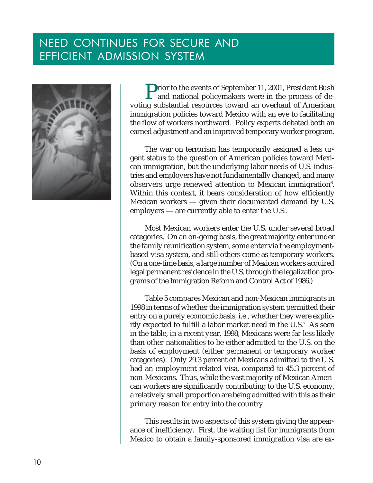## NEED CONTINUES FOR SECURE AND EFFICIENT ADMISSION SYSTEM



**P**rior to the events of September 11, 2001, President Bush and national policymakers were in the process of devoting substantial resources toward an overhaul of American immigration policies toward Mexico with an eye to facilitating the flow of workers northward. Policy experts debated both an earned adjustment and an improved temporary worker program.

The war on terrorism has temporarily assigned a less urgent status to the question of American policies toward Mexican immigration, but the underlying labor needs of U.S. industries and employers have not fundamentally changed, and many observers urge renewed attention to Mexican immigration $6$ . Within this context, it bears consideration of how efficiently Mexican workers — given their documented demand by U.S. employers — are currently able to enter the U.S..

Most Mexican workers enter the U.S. under several broad categories. On an on-going basis, the great majority enter under the family reunification system, some enter via the employmentbased visa system, and still others come as temporary workers. (On a one-time basis, a large number of Mexican workers acquired legal permanent residence in the U.S. through the legalization programs of the Immigration Reform and Control Act of 1986.)

Table 5 compares Mexican and non-Mexican immigrants in 1998 in terms of whether the immigration system permitted their entry on a purely economic basis, i.e., whether they were explicitly expected to fulfill a labor market need in the U.S.7 As seen in the table, in a recent year, 1998, Mexicans were far less likely than other nationalities to be either admitted to the U.S. on the basis of employment (either permanent or temporary worker categories). Only 29.3 percent of Mexicans admitted to the U.S. had an employment related visa, compared to 45.3 percent of non-Mexicans. Thus, while the vast majority of Mexican American workers are significantly contributing to the U.S. economy, a relatively small proportion are being admitted with this as their primary reason for entry into the country.

This results in two aspects of this system giving the appearance of inefficiency. First, the waiting list for immigrants from Mexico to obtain a family-sponsored immigration visa are ex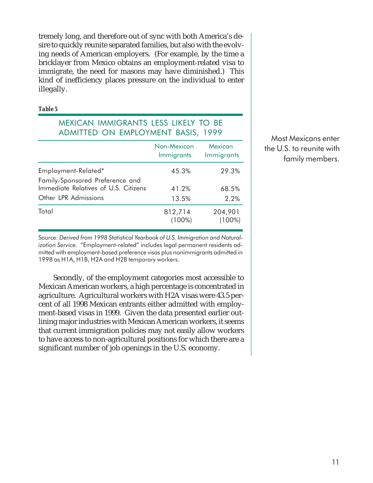tremely long, and therefore out of sync with both America's desire to quickly reunite separated families, but also with the evolving needs of American employers. (For example, by the time a bricklayer from Mexico obtains an employment-related visa to immigrate, the need for masons may have diminished.) This kind of inefficiency places pressure on the individual to enter illegally.

#### Table 5

### **MEXICAN IMMIGRANTS LESS LIKELY TO BE** ADMITTED ON EMPLOYMENT BASIS, 1999

|                                                                         | Non-Mexican<br>Immigrants | Mexican<br>Immigrants |
|-------------------------------------------------------------------------|---------------------------|-----------------------|
| Employment-Related*                                                     | 45.3%                     | 29.3%                 |
| Family-Sponsored Preference and<br>Immediate Relatives of U.S. Citizens | 41.2%                     | 68.5%                 |
| Other LPR Admissions                                                    | 13.5%                     | 2.2%                  |
| Total                                                                   | 812,714<br>$(100\%)$      | 204,901<br>$(100\%)$  |

Most Mexicans enter the U.S. to reunite with family members.

Source: Derived from 1998 Statistical Yearbook of U.S. Immigration and Naturalization Service. "Employment-related" includes legal permanent residents admitted with employment-based preference visas plus nonimmigrants admitted in 1998 as H1A, H1B, H2A and H2B temporary workers.

Secondly, of the employment categories most accessible to Mexican American workers, a high percentage is concentrated in agriculture. Agricultural workers with H2A visas were 43.5 percent of all 1998 Mexican entrants either admitted with employment-based visas in 1999. Given the data presented earlier outlining major industries with Mexican American workers, it seems that current immigration policies may not easily allow workers to have access to non-agricultural positions for which there are a significant number of job openings in the U.S. economy.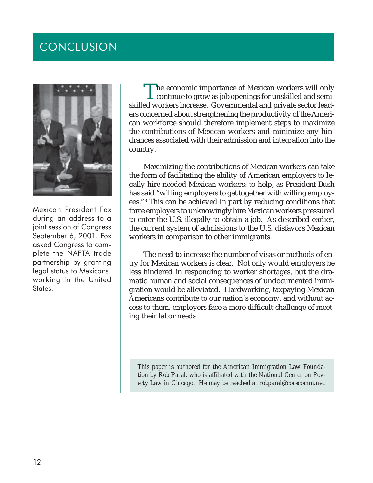# CONCLUSION



Mexican President Fox during an address to a joint session of Congress September 6, 2001. Fox asked Congress to complete the NAFTA trade partnership by granting legal status to Mexicans working in the United States.

The economic importance of Mexican workers will only<br>continue to grow as job openings for unskilled and semi-<br>continue increase. Covernmental and private sector lead skilled workers increase. Governmental and private sector leaders concerned about strengthening the productivity of the American workforce should therefore implement steps to maximize the contributions of Mexican workers and minimize any hindrances associated with their admission and integration into the country.

Maximizing the contributions of Mexican workers can take the form of facilitating the ability of American employers to legally hire needed Mexican workers: to help, as President Bush has said "willing employers to get together with willing employees."8 This can be achieved in part by reducing conditions that force employers to unknowingly hire Mexican workers pressured to enter the U.S. illegally to obtain a job. As described earlier, the current system of admissions to the U.S. disfavors Mexican workers in comparison to other immigrants.

The need to increase the number of visas or methods of entry for Mexican workers is clear. Not only would employers be less hindered in responding to worker shortages, but the dramatic human and social consequences of undocumented immigration would be alleviated. Hardworking, taxpaying Mexican Americans contribute to our nation's economy, and without access to them, employers face a more difficult challenge of meeting their labor needs.

*This paper is authored for the American Immigration Law Foundation by Rob Paral, who is affiliated with the National Center on Poverty Law in Chicago. He may be reached at robparal@corecomm.net.*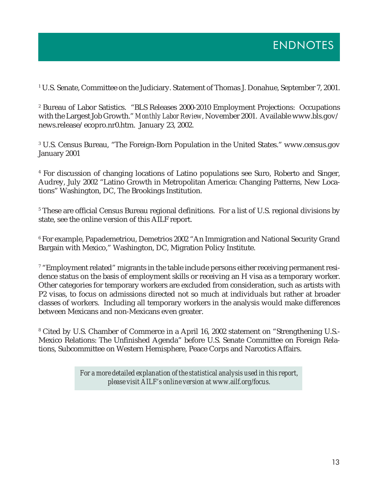1 U.S. Senate, Committee on the Judiciary. Statement of Thomas J. Donahue, September 7, 2001.

2 Bureau of Labor Satistics. "BLS Releases 2000-2010 Employment Projections: Occupations with the Largest Job Growth." *Monthly Labor Review*, November 2001. Available www.bls.gov/ news.release/ecopro.nr0.htm. January 23, 2002.

 $^{\rm 3}$  U.S. Census Bureau, "The Foreign-Born Population in the United States." www.census.gov January 2001

4 For discussion of changing locations of Latino populations see Suro, Roberto and Singer, Audrey, July 2002 "Latino Growth in Metropolitan America: Changing Patterns, New Locations" Washington, DC, The Brookings Institution.

 $^{\rm 5}$  These are official Census Bureau regional definitions. For a list of U.S. regional divisions by state, see the online version of this AILF report.

 $^{\rm 6}$  For example, Papademetriou, Demetrios 2002 "An Immigration and National Security Grand Bargain with Mexico," Washington, DC, Migration Policy Institute.

 $^{\mathrm{\tau}}$  "Employment related" migrants in the table include persons either receiving permanent residence status on the basis of employment skills or receiving an H visa as a temporary worker. Other categories for temporary workers are excluded from consideration, such as artists with P2 visas, to focus on admissions directed not so much at individuals but rather at broader classes of workers. Including all temporary workers in the analysis would make differences between Mexicans and non-Mexicans even greater.

8 Cited by U.S. Chamber of Commerce in a April 16, 2002 statement on "Strengthening U.S.- Mexico Relations: The Unfinished Agenda" before U.S. Senate Committee on Foreign Relations, Subcommittee on Western Hemisphere, Peace Corps and Narcotics Affairs.

> *For a more detailed explanation of the statistical analysis used in this report, please visit AILF's online version at www.ailf.org/focus.*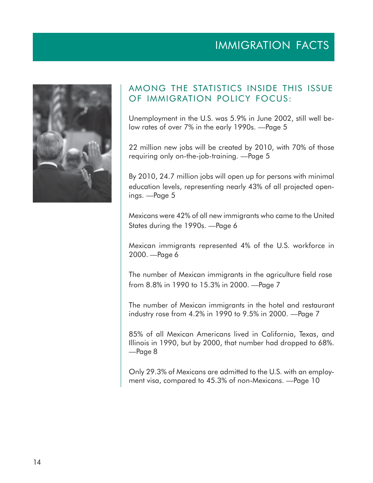# **IMMIGRATION FACTS**



### AMONG THE STATISTICS INSIDE THIS ISSUE OF IMMIGRATION POLICY FOCUS:

Unemployment in the U.S. was 5.9% in June 2002, still well below rates of over 7% in the early 1990s. - Page 5

22 million new jobs will be created by 2010, with 70% of those requiring only on-the-job-training. -Page 5

By 2010, 24.7 million jobs will open up for persons with minimal education levels, representing nearly 43% of all projected openings. -Page 5

Mexicans were 42% of all new immigrants who came to the United States during the 1990s. - Page 6

Mexican immigrants represented 4% of the U.S. workforce in 2000. - Page 6

The number of Mexican immigrants in the agriculture field rose from 8.8% in 1990 to 15.3% in 2000. — Page 7

The number of Mexican immigrants in the hotel and restaurant industry rose from 4.2% in 1990 to 9.5% in 2000. — Page 7

85% of all Mexican Americans lived in California, Texas, and Illinois in 1990, but by 2000, that number had dropped to 68%. -Page 8

Only 29.3% of Mexicans are admitted to the U.S. with an employment visa, compared to 45.3% of non-Mexicans. - Page 10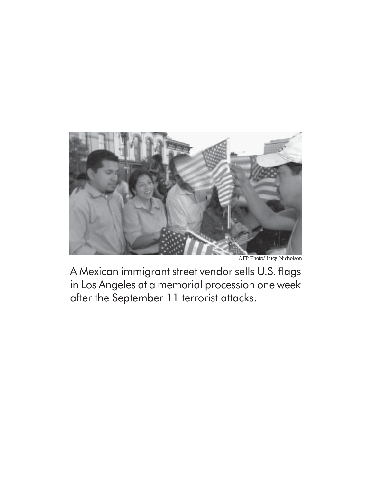

AFP Photo/Lucy Nicholson

A Mexican immigrant street vendor sells U.S. flags in Los Angeles at a memorial procession one week after the September 11 terrorist attacks.